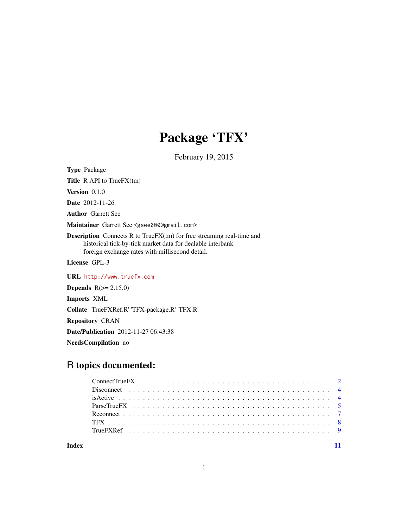## Package 'TFX'

February 19, 2015

Type Package

Title R API to TrueFX(tm)

Version 0.1.0

Date 2012-11-26

Author Garrett See

Maintainer Garrett See <gsee000@gmail.com>

Description Connects R to TrueFX(tm) for free streaming real-time and historical tick-by-tick market data for dealable interbank foreign exchange rates with millisecond detail.

License GPL-3

URL <http://www.truefx.com>

**Depends**  $R(>= 2.15.0)$ 

Imports XML

Collate 'TrueFXRef.R' 'TFX-package.R' 'TFX.R'

Repository CRAN

Date/Publication 2012-11-27 06:43:38

NeedsCompilation no

## R topics documented:

**Index** [11](#page-10-0)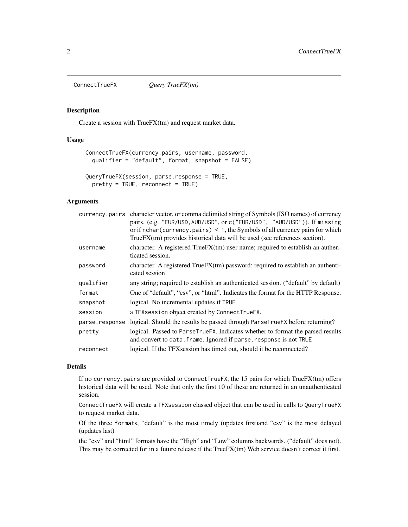<span id="page-1-1"></span><span id="page-1-0"></span>ConnectTrueFX *Query TrueFX(tm)*

#### <span id="page-1-2"></span>Description

Create a session with TrueFX(tm) and request market data.

## Usage

```
ConnectTrueFX(currency.pairs, username, password,
 qualifier = "default", format, snapshot = FALSE)
QueryTrueFX(session, parse.response = TRUE,
 pretty = TRUE, reconnect = TRUE)
```
#### Arguments

|                | currency pairs character vector, or comma delimited string of Symbols (ISO names) of currency<br>pairs. (e.g. "EUR/USD, AUD/USD", or c("EUR/USD", "AUD/USD")). If missing<br>or if nchar (currency pairs) $\leq 1$ , the Symbols of all currency pairs for which<br>TrueFX(tm) provides historical data will be used (see references section). |
|----------------|------------------------------------------------------------------------------------------------------------------------------------------------------------------------------------------------------------------------------------------------------------------------------------------------------------------------------------------------|
| username       | character. A registered TrueFX(tm) user name; required to establish an authen-<br>ticated session.                                                                                                                                                                                                                                             |
| password       | character. A registered TrueFX(tm) password; required to establish an authenti-<br>cated session                                                                                                                                                                                                                                               |
| qualifier      | any string; required to establish an authenticated session. ("default" by default)                                                                                                                                                                                                                                                             |
| format         | One of "default", "csv", or "html". Indicates the format for the HTTP Response.                                                                                                                                                                                                                                                                |
| snapshot       | logical. No incremental updates if TRUE                                                                                                                                                                                                                                                                                                        |
| session        | a TFX session object created by Connect True FX.                                                                                                                                                                                                                                                                                               |
| parse.response | logical. Should the results be passed through ParseTrueFX before returning?                                                                                                                                                                                                                                                                    |
| pretty         | logical. Passed to ParseTrueFX. Indicates whether to format the parsed results<br>and convert to data. frame. Ignored if parse. response is not TRUE                                                                                                                                                                                           |
| reconnect      | logical. If the TFX session has timed out, should it be reconnected?                                                                                                                                                                                                                                                                           |

## Details

If no currency.pairs are provided to ConnectTrueFX, the 15 pairs for which TrueFX(tm) offers historical data will be used. Note that only the first 10 of these are returned in an unauthenticated session.

ConnectTrueFX will create a TFXsession classed object that can be used in calls to QueryTrueFX to request market data.

Of the three formats, "default" is the most timely (updates first)and "csv" is the most delayed (updates last)

the "csv" and "html" formats have the "High" and "Low" columns backwards. ("default" does not). This may be corrected for in a future release if the TrueFX(tm) Web service doesn't correct it first.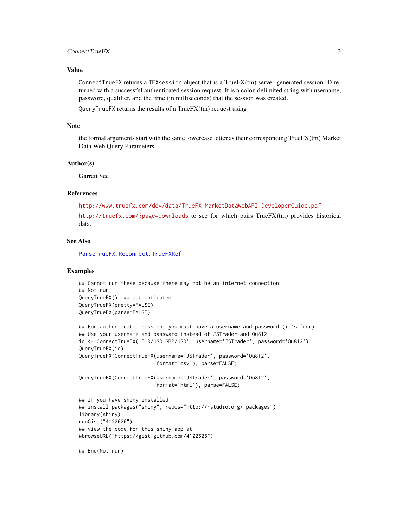## <span id="page-2-0"></span>ConnectTrueFX 3

### Value

ConnectTrueFX returns a TFXsession object that is a TrueFX(tm) server-generated session ID returned with a successful authenticated session request. It is a colon delimited string with username, password, qualifier, and the time (in milliseconds) that the session was created.

QueryTrueFX returns the results of a TrueFX(tm) request using

#### Note

the formal arguments start with the same lowercase letter as their corresponding TrueFX(tm) Market Data Web Query Parameters

#### Author(s)

Garrett See

## References

[http://www.truefx.com/dev/data/TrueFX\\_MarketDataWebAPI\\_DeveloperGuide.pdf](http://www.truefx.com/dev/data/TrueFX_MarketDataWebAPI_DeveloperGuide.pdf) <http://truefx.com/?page=downloads> to see for which pairs TrueFX(tm) provides historical data.

## See Also

[ParseTrueFX](#page-4-1), [Reconnect](#page-6-1), [TrueFXRef](#page-8-1)

#### Examples

```
## Cannot run these because there may not be an internet connection
## Not run:
QueryTrueFX() #unauthenticated
QueryTrueFX(pretty=FALSE)
QueryTrueFX(parse=FALSE)
```

```
## For authenticated session, you must have a username and password (it's free).
## Use your username and passward instead of JSTrader and Ou812
id <- ConnectTrueFX('EUR/USD,GBP/USD', username='JSTrader', password='Ou812')
QueryTrueFX(id)
QueryTrueFX(ConnectTrueFX(username='JSTrader', password='Ou812',
                          format='csv'), parse=FALSE)
```

```
QueryTrueFX(ConnectTrueFX(username='JSTrader', password='Ou812',
                          format='html'), parse=FALSE)
```

```
## If you have shiny installed
## install.packages("shiny", repos="http://rstudio.org/_packages")
library(shiny)
runGist("4122626")
## view the code for this shiny app at
#browseURL("https://gist.github.com/4122626")
```
## End(Not run)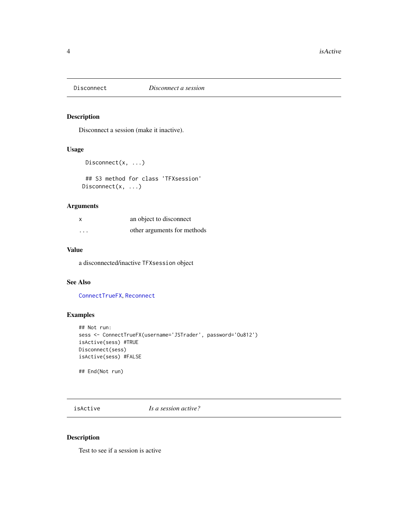<span id="page-3-1"></span><span id="page-3-0"></span>

## Description

Disconnect a session (make it inactive).

## Usage

```
Disconnect(x, ...)
```

```
## S3 method for class 'TFXsession'
Disconnect(x, ...)
```
## Arguments

| $\boldsymbol{\mathsf{x}}$ | an object to disconnect     |
|---------------------------|-----------------------------|
| $\cdots$                  | other arguments for methods |

## Value

a disconnected/inactive TFXsession object

## See Also

[ConnectTrueFX](#page-1-1), [Reconnect](#page-6-1)

## Examples

```
## Not run:
sess <- ConnectTrueFX(username='JSTrader', password='Ou812')
isActive(sess) #TRUE
Disconnect(sess)
isActive(sess) #FALSE
```
## End(Not run)

isActive *Is a session active?*

#### Description

Test to see if a session is active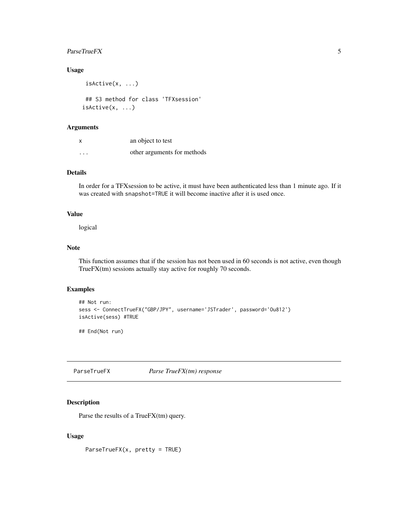#### <span id="page-4-0"></span> $ParseTrueFX$  5

## Usage

```
isActive(x, ...)
## S3 method for class 'TFXsession'
isActive(x, ...)
```
## Arguments

| x        | an object to test           |
|----------|-----------------------------|
| $\cdots$ | other arguments for methods |

## Details

In order for a TFXsession to be active, it must have been authenticated less than 1 minute ago. If it was created with snapshot=TRUE it will become inactive after it is used once.

## Value

logical

#### Note

This function assumes that if the session has not been used in 60 seconds is not active, even though TrueFX(tm) sessions actually stay active for roughly 70 seconds.

## Examples

```
## Not run:
sess <- ConnectTrueFX("GBP/JPY", username='JSTrader', password='Ou812')
isActive(sess) #TRUE
```
## End(Not run)

<span id="page-4-1"></span>ParseTrueFX *Parse TrueFX(tm) response*

## Description

Parse the results of a TrueFX(tm) query.

## Usage

ParseTrueFX(x, pretty = TRUE)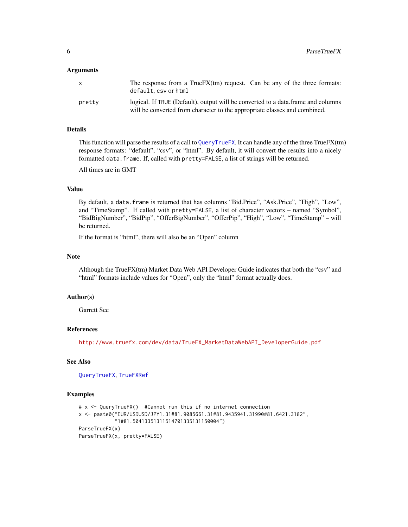#### <span id="page-5-0"></span>**Arguments**

| X.     | The response from a TrueF $X(tm)$ request. Can be any of the three formats:<br>default.csv or html                                                            |
|--------|---------------------------------------------------------------------------------------------------------------------------------------------------------------|
| pretty | logical. If TRUE (Default), output will be converted to a data frame and columns<br>will be converted from character to the appropriate classes and combined. |

#### Details

This function will parse the results of a call to [QueryTrueFX](#page-1-2). It can handle any of the three TrueFX(tm) response formats: "default", "csv", or "html". By default, it will convert the results into a nicely formatted data.frame. If, called with pretty=FALSE, a list of strings will be returned.

All times are in GMT

## Value

By default, a data.frame is returned that has columns "Bid.Price", "Ask.Price", "High", "Low", and "TimeStamp". If called with pretty=FALSE, a list of character vectors – named "Symbol", "BidBigNumber", "BidPip", "OfferBigNumber", "OfferPip", "High", "Low", "TimeStamp" – will be returned.

If the format is "html", there will also be an "Open" column

#### Note

Although the TrueFX(tm) Market Data Web API Developer Guide indicates that both the "csv" and "html" formats include values for "Open", only the "html" format actually does.

#### Author(s)

Garrett See

## References

[http://www.truefx.com/dev/data/TrueFX\\_MarketDataWebAPI\\_DeveloperGuide.pdf](http://www.truefx.com/dev/data/TrueFX_MarketDataWebAPI_DeveloperGuide.pdf)

## See Also

[QueryTrueFX](#page-1-2), [TrueFXRef](#page-8-1)

#### Examples

```
# x <- QueryTrueFX() #Cannot run this if no internet connection
x <- paste0("EUR/USDUSD/JPY1.31#81.9085661.31#81.9435941.31990#81.6421.3182",
            "1#81.50413351311514701335131150004")
ParseTrueFX(x)
ParseTrueFX(x, pretty=FALSE)
```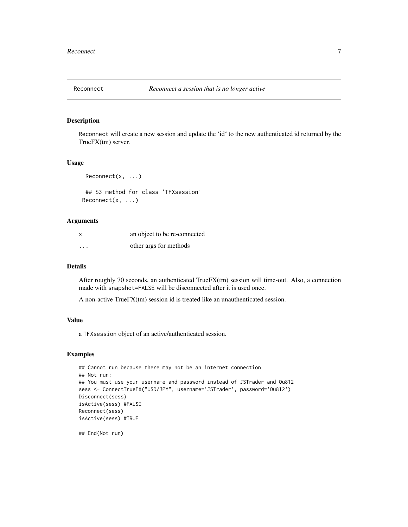<span id="page-6-1"></span><span id="page-6-0"></span>

## Description

Reconnect will create a new session and update the 'id' to the new authenticated id returned by the TrueFX(tm) server.

#### Usage

```
Reconnect(x, ...)
```

```
## S3 method for class 'TFXsession'
Reconnect(x, ...)
```
#### Arguments

| x        | an object to be re-connected |
|----------|------------------------------|
| $\cdots$ | other args for methods       |

## Details

After roughly 70 seconds, an authenticated TrueFX(tm) session will time-out. Also, a connection made with snapshot=FALSE will be disconnected after it is used once.

A non-active TrueFX(tm) session id is treated like an unauthenticated session.

## Value

a TFXsession object of an active/authenticated session.

#### Examples

```
## Cannot run because there may not be an internet connection
## Not run:
## You must use your username and password instead of JSTrader and Ou812
sess <- ConnectTrueFX("USD/JPY", username='JSTrader', password='Ou812')
Disconnect(sess)
isActive(sess) #FALSE
Reconnect(sess)
isActive(sess) #TRUE
```
## End(Not run)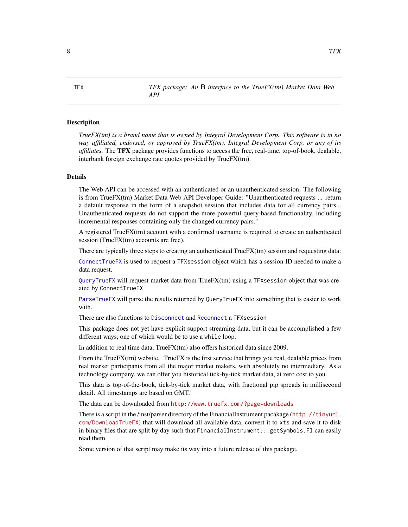<span id="page-7-0"></span>TFX *TFX package: An* R *interface to the TrueFX(tm) Market Data Web API*

#### **Description**

*TrueFX(tm) is a brand name that is owned by Integral Development Corp. This software is in no way affiliated, endorsed, or approved by TrueFX(tm), Integral Development Corp, or any of its affiliates.* The TFX package provides functions to access the free, real-time, top-of-book, dealable, interbank foreign exchange rate quotes provided by TrueFX(tm).

#### Details

The Web API can be accessed with an authenticated or an unauthenticated session. The following is from TrueFX(tm) Market Data Web API Developer Guide: "Unauthenticated requests ... return a default response in the form of a snapshot session that includes data for all currency pairs... Unauthenticated requests do not support the more powerful query-based functionality, including incremental responses containing only the changed currency pairs."

A registered TrueFX(tm) account with a confirmed username is required to create an authenticated session (TrueFX(tm) accounts are free).

There are typically three steps to creating an authenticated TrueFX(tm) session and requesting data:

[ConnectTrueFX](#page-1-1) is used to request a TFXsession object which has a session ID needed to make a data request.

[QueryTrueFX](#page-1-2) will request market data from TrueFX(tm) using a TFXsession object that was created by ConnectTrueFX

[ParseTrueFX](#page-4-1) will parse the results returned by QueryTrueFX into something that is easier to work with.

There are also functions to [Disconnect](#page-3-1) and [Reconnect](#page-6-1) a TFX session

This package does not yet have explicit support streaming data, but it can be accomplished a few different ways, one of which would be to use a while loop.

In addition to real time data, TrueFX(tm) also offers historical data since 2009.

From the TrueFX(tm) website, "TrueFX is the first service that brings you real, dealable prices from real market participants from all the major market makers, with absolutely no intermediary. As a technology company, we can offer you historical tick-by-tick market data, at zero cost to you.

This data is top-of-the-book, tick-by-tick market data, with fractional pip spreads in millisecond detail. All timestamps are based on GMT."

The data can be downloaded from <http://www.truefx.com/?page=downloads>

There is a script in the /inst/parser directory of the FinancialInstrument pacakage ([http://tinyurl.](http://tinyurl.com/DownloadTrueFX) [com/DownloadTrueFX](http://tinyurl.com/DownloadTrueFX)) that will download all available data, convert it to xts and save it to disk in binary files that are split by day such that FinancialInstrument:::getSymbols.FI can easily read them.

Some version of that script may make its way into a future release of this package.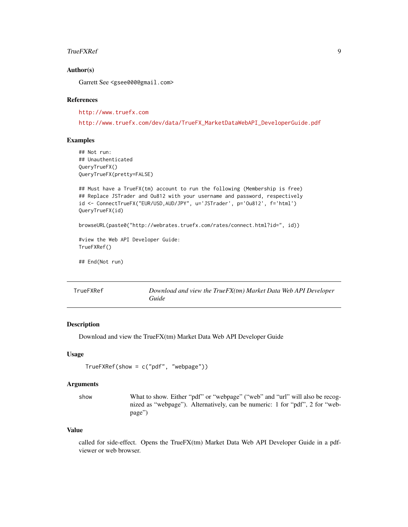#### <span id="page-8-0"></span>TrueFXRef 99

### Author(s)

Garrett See <gsee000@gmail.com>

#### References

<http://www.truefx.com>

[http://www.truefx.com/dev/data/TrueFX\\_MarketDataWebAPI\\_DeveloperGuide.pdf](http://www.truefx.com/dev/data/TrueFX_MarketDataWebAPI_DeveloperGuide.pdf)

#### Examples

```
## Not run:
## Unauthenticated
QueryTrueFX()
QueryTrueFX(pretty=FALSE)
```

```
## Must have a TrueFX(tm) account to run the following (Membership is free)
## Replace JSTrader and Ou812 with your username and password, respectively
id <- ConnectTrueFX("EUR/USD,AUD/JPY", u='JSTrader', p='Ou812', f='html')
QueryTrueFX(id)
```

```
browseURL(paste0("http://webrates.truefx.com/rates/connect.html?id=", id))
```

```
#view the Web API Developer Guide:
TrueFXRef()
```
## End(Not run)

<span id="page-8-1"></span>

| TrueFXRef | Download and view the TrueFX(tm) Market Data Web API Developer |
|-----------|----------------------------------------------------------------|
|           | Guide                                                          |

## Description

Download and view the TrueFX(tm) Market Data Web API Developer Guide

#### Usage

```
TrueFXRef(show = c("pdf", "webpage"))
```
#### Arguments

show What to show. Either "pdf" or "webpage" ("web" and "url" will also be recognized as "webpage"). Alternatively, can be numeric: 1 for "pdf", 2 for "webpage")

#### Value

called for side-effect. Opens the TrueFX(tm) Market Data Web API Developer Guide in a pdfviewer or web browser.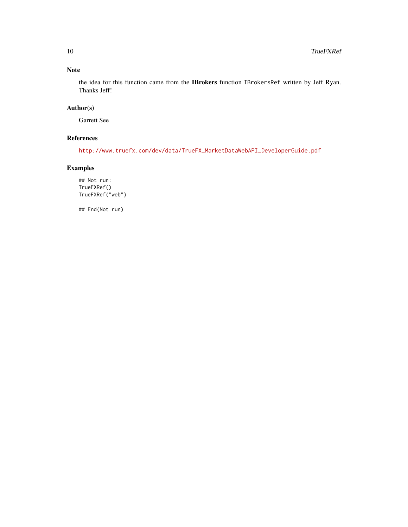## Note

the idea for this function came from the IBrokers function IBrokersRef written by Jeff Ryan. Thanks Jeff!

## Author(s)

Garrett See

## References

[http://www.truefx.com/dev/data/TrueFX\\_MarketDataWebAPI\\_DeveloperGuide.pdf](http://www.truefx.com/dev/data/TrueFX_MarketDataWebAPI_DeveloperGuide.pdf)

## Examples

## Not run: TrueFXRef() TrueFXRef("web")

## End(Not run)